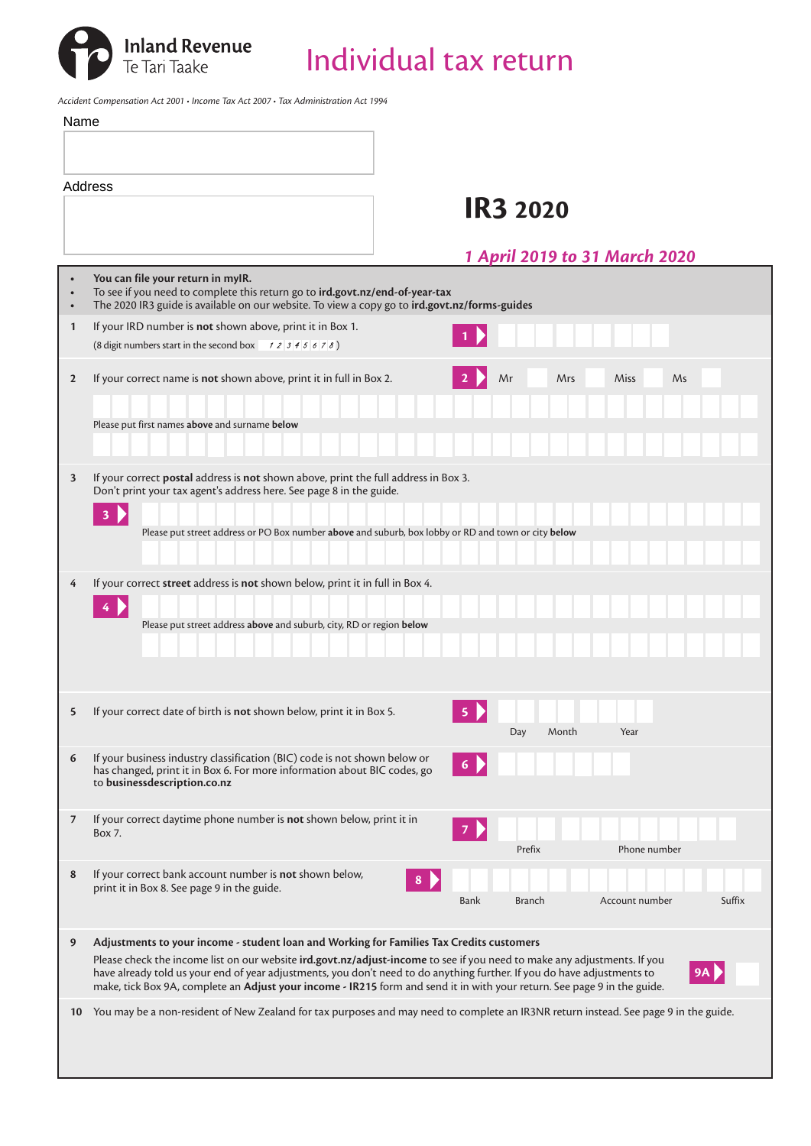

*Accident Compensation Act 2001 • Income Tax Act 2007 • Tax Administration Act 1994*

| Name         |                                                                                                                                                                                                                                                     |
|--------------|-----------------------------------------------------------------------------------------------------------------------------------------------------------------------------------------------------------------------------------------------------|
|              |                                                                                                                                                                                                                                                     |
|              | Address<br><b>IR3 2020</b>                                                                                                                                                                                                                          |
|              | 1 April 2019 to 31 March 2020                                                                                                                                                                                                                       |
|              | You can file your return in myIR.<br>To see if you need to complete this return go to ird.govt.nz/end-of-year-tax<br>The 2020 IR3 guide is available on our website. To view a copy go to ird.govt.nz/forms-guides                                  |
| $\mathbf{1}$ | If your IRD number is not shown above, print it in Box 1.<br>(8 digit numbers start in the second box $\begin{array}{c} 1234567 \\ 234567 \end{array}$ )                                                                                            |
| $\mathbf{2}$ | If your correct name is not shown above, print it in full in Box 2.<br>Mr<br>Miss<br>Ms<br>Mrs                                                                                                                                                      |
|              | Please put first names above and surname below                                                                                                                                                                                                      |
|              |                                                                                                                                                                                                                                                     |
| 3            | If your correct postal address is not shown above, print the full address in Box 3.                                                                                                                                                                 |
|              | Don't print your tax agent's address here. See page 8 in the guide.<br>$3 \overline{b}$                                                                                                                                                             |
|              | Please put street address or PO Box number above and suburb, box lobby or RD and town or city below                                                                                                                                                 |
| 4            | If your correct street address is not shown below, print it in full in Box 4.                                                                                                                                                                       |
|              | $\frac{4}{3}$                                                                                                                                                                                                                                       |
|              | Please put street address above and suburb, city, RD or region below                                                                                                                                                                                |
|              |                                                                                                                                                                                                                                                     |
| 5            | If your correct date of birth is not shown below, print it in Box 5.<br>5<br>Day<br>Month<br>Year                                                                                                                                                   |
| 6            | If your business industry classification (BIC) code is not shown below or<br>has changed, print it in Box 6. For more information about BIC codes, go<br>to businessdescription.co.nz                                                               |
| 7            | If your correct daytime phone number is not shown below, print it in<br>Box 7.<br>Phone number<br>Prefix                                                                                                                                            |
| 8            | If your correct bank account number is not shown below,<br>print it in Box 8. See page 9 in the guide.<br>Suffix<br>Bank<br><b>Branch</b><br>Account number                                                                                         |
| 9            | Adjustments to your income - student loan and Working for Families Tax Credits customers<br>Please check the income list on our website ird.govt.nz/adjust-income to see if you need to make any adjustments. If you                                |
|              | have already told us your end of year adjustments, you don't need to do anything further. If you do have adjustments to<br>make, tick Box 9A, complete an Adjust your income - IR215 form and send it in with your return. See page 9 in the guide. |
| 10           | You may be a non-resident of New Zealand for tax purposes and may need to complete an IR3NR return instead. See page 9 in the guide.                                                                                                                |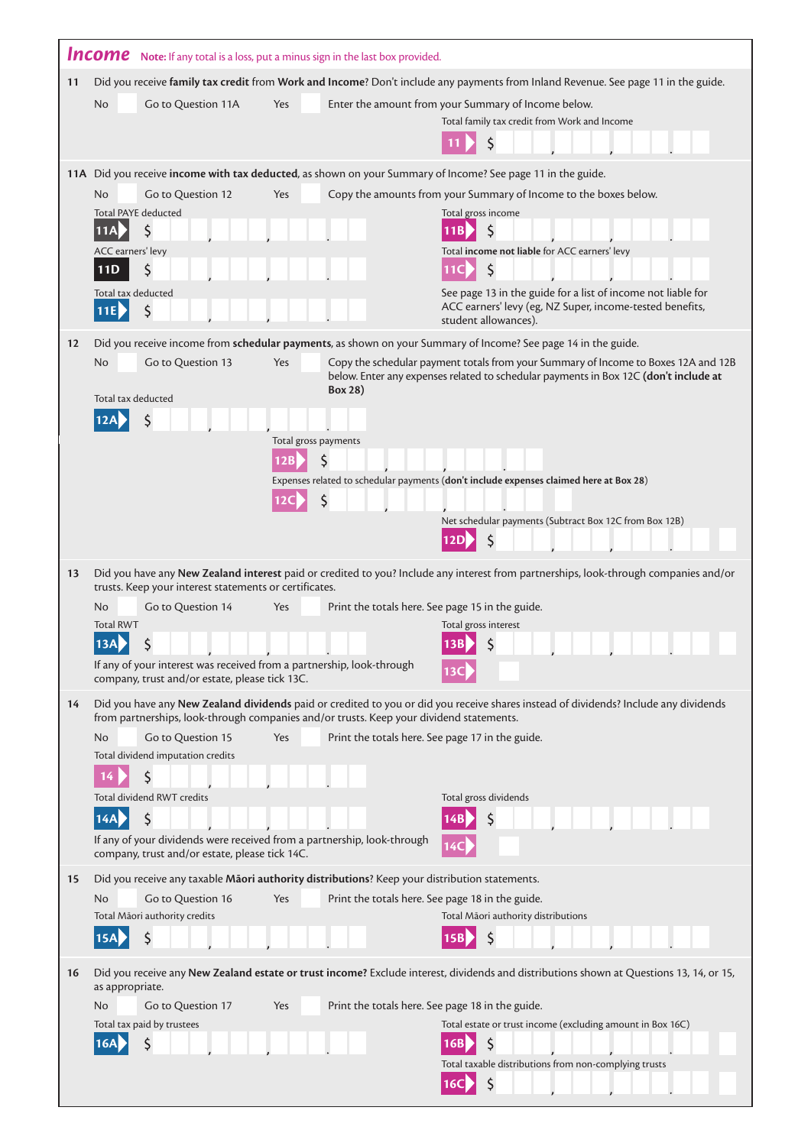|         | <b>Income</b> Note: If any total is a loss, put a minus sign in the last box provided.                                    |                      |                                                  |     |                                                                                                                                         |
|---------|---------------------------------------------------------------------------------------------------------------------------|----------------------|--------------------------------------------------|-----|-----------------------------------------------------------------------------------------------------------------------------------------|
| 11      |                                                                                                                           |                      |                                                  |     | Did you receive family tax credit from Work and Income? Don't include any payments from Inland Revenue. See page 11 in the guide.       |
|         | Go to Question 11A<br><b>No</b>                                                                                           | Yes                  |                                                  |     | Enter the amount from your Summary of Income below.                                                                                     |
|         |                                                                                                                           |                      |                                                  |     | Total family tax credit from Work and Income                                                                                            |
|         |                                                                                                                           |                      |                                                  |     |                                                                                                                                         |
|         |                                                                                                                           |                      |                                                  |     | 11A Did you receive income with tax deducted, as shown on your Summary of Income? See page 11 in the guide.                             |
|         | Go to Question 12<br>No<br><b>Total PAYE deducted</b>                                                                     | Yes                  |                                                  |     | Copy the amounts from your Summary of Income to the boxes below.<br>Total gross income                                                  |
|         | Ś.<br>$\overline{11A}$                                                                                                    |                      |                                                  | 11B | S                                                                                                                                       |
|         | ACC earners' levy                                                                                                         |                      |                                                  |     | Total income not liable for ACC earners' levy                                                                                           |
|         | \$<br><b>11D</b><br>Total tax deducted                                                                                    |                      |                                                  |     | $\zeta$<br>See page 13 in the guide for a list of income not liable for                                                                 |
|         | \$<br>11E                                                                                                                 |                      |                                                  |     | ACC earners' levy (eg, NZ Super, income-tested benefits,<br>student allowances).                                                        |
| $12 \,$ |                                                                                                                           |                      |                                                  |     | Did you receive income from schedular payments, as shown on your Summary of Income? See page 14 in the guide.                           |
|         | <b>No</b><br>Go to Question 13                                                                                            | Yes                  |                                                  |     | Copy the schedular payment totals from your Summary of Income to Boxes 12A and 12B                                                      |
|         |                                                                                                                           |                      | Box 28)                                          |     | below. Enter any expenses related to schedular payments in Box 12C (don't include at                                                    |
|         | Total tax deducted                                                                                                        |                      |                                                  |     |                                                                                                                                         |
|         |                                                                                                                           | Total gross payments |                                                  |     |                                                                                                                                         |
|         |                                                                                                                           | 12B                  |                                                  |     |                                                                                                                                         |
|         |                                                                                                                           |                      |                                                  |     | Expenses related to schedular payments (don't include expenses claimed here at Box 28)                                                  |
|         |                                                                                                                           |                      |                                                  |     | Net schedular payments (Subtract Box 12C from Box 12B)                                                                                  |
|         |                                                                                                                           |                      |                                                  |     |                                                                                                                                         |
| 13      |                                                                                                                           |                      |                                                  |     | Did you have any New Zealand interest paid or credited to you? Include any interest from partnerships, look-through companies and/or    |
|         | trusts. Keep your interest statements or certificates.                                                                    |                      |                                                  |     |                                                                                                                                         |
|         | Go to Question 14<br><b>No</b><br><b>Total RWT</b>                                                                        | Yes                  | Print the totals here. See page 15 in the guide. |     | Total gross interest                                                                                                                    |
|         | \$<br><b>13A</b>                                                                                                          |                      |                                                  | 13B | \$                                                                                                                                      |
|         | If any of your interest was received from a partnership, look-through<br>company, trust and/or estate, please tick 13C.   |                      |                                                  |     |                                                                                                                                         |
| 14      |                                                                                                                           |                      |                                                  |     | Did you have any New Zealand dividends paid or credited to you or did you receive shares instead of dividends? Include any dividends    |
|         | from partnerships, look-through companies and/or trusts. Keep your dividend statements.                                   |                      |                                                  |     |                                                                                                                                         |
|         | Go to Question 15<br>N <sub>o</sub><br>Total dividend imputation credits                                                  | Yes                  | Print the totals here. See page 17 in the guide. |     |                                                                                                                                         |
|         |                                                                                                                           |                      |                                                  |     |                                                                                                                                         |
|         | Total dividend RWT credits                                                                                                |                      |                                                  |     | Total gross dividends                                                                                                                   |
|         | \$<br>14A                                                                                                                 |                      |                                                  |     |                                                                                                                                         |
|         | If any of your dividends were received from a partnership, look-through<br>company, trust and/or estate, please tick 14C. |                      |                                                  |     |                                                                                                                                         |
| 15      | Did you receive any taxable Maori authority distributions? Keep your distribution statements.                             |                      |                                                  |     |                                                                                                                                         |
|         | Go to Question 16<br>N <sub>o</sub><br>Total Māori authority credits                                                      | Yes                  | Print the totals here. See page 18 in the guide. |     | Total Māori authority distributions                                                                                                     |
|         | Ś<br>15A                                                                                                                  |                      |                                                  |     | S                                                                                                                                       |
|         |                                                                                                                           |                      |                                                  |     |                                                                                                                                         |
| 16      | as appropriate.                                                                                                           |                      |                                                  |     | Did you receive any New Zealand estate or trust income? Exclude interest, dividends and distributions shown at Questions 13, 14, or 15, |
|         | Go to Question 17<br><b>No</b>                                                                                            | Yes                  | Print the totals here. See page 18 in the guide. |     |                                                                                                                                         |
|         | Total tax paid by trustees<br>Ś                                                                                           |                      |                                                  |     | Total estate or trust income (excluding amount in Box 16C)                                                                              |
|         |                                                                                                                           |                      |                                                  |     | Total taxable distributions from non-complying trusts                                                                                   |
|         |                                                                                                                           |                      |                                                  | 16C | $\zeta$                                                                                                                                 |

J.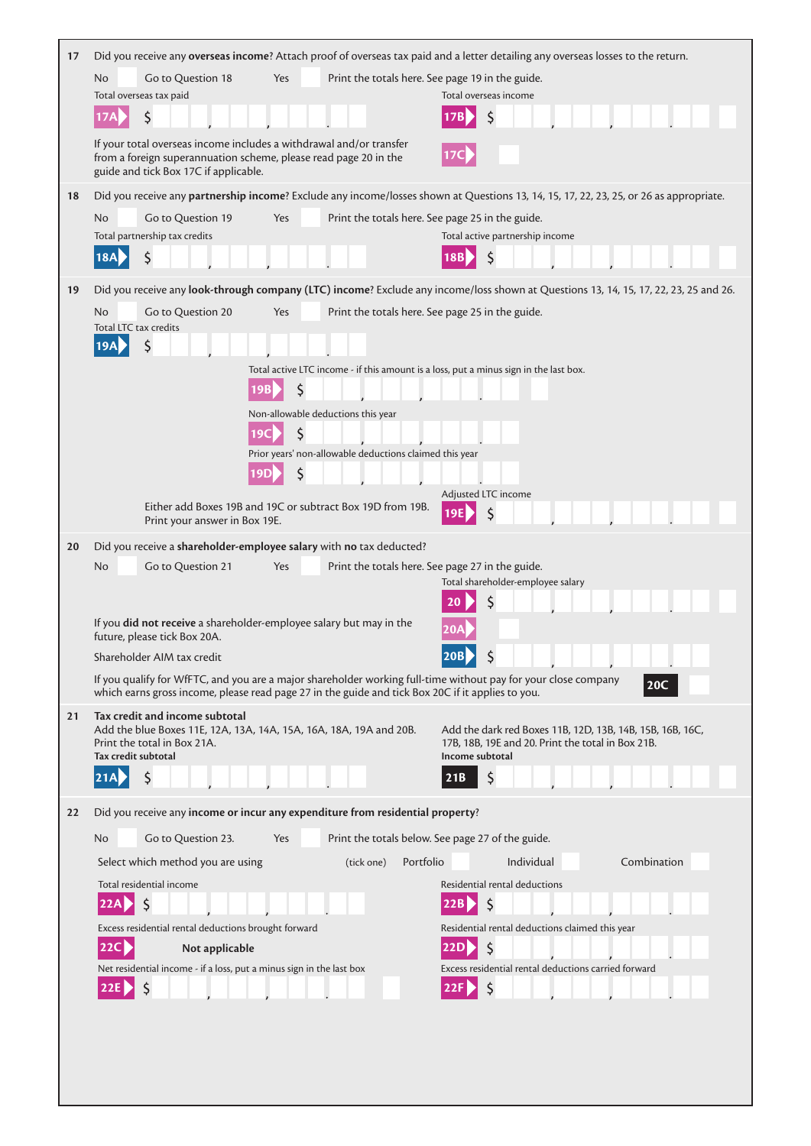| 17 |                                                                                        |                                                                                                                                         | Did you receive any overseas income? Attach proof of overseas tax paid and a letter detailing any overseas losses to the return.       |
|----|----------------------------------------------------------------------------------------|-----------------------------------------------------------------------------------------------------------------------------------------|----------------------------------------------------------------------------------------------------------------------------------------|
|    | Go to Question 18<br>No                                                                | Yes                                                                                                                                     | Print the totals here. See page 19 in the guide.                                                                                       |
|    | Total overseas tax paid                                                                |                                                                                                                                         | Total overseas income                                                                                                                  |
|    | \$                                                                                     |                                                                                                                                         |                                                                                                                                        |
|    | guide and tick Box 17C if applicable.                                                  | If your total overseas income includes a withdrawal and/or transfer<br>from a foreign superannuation scheme, please read page 20 in the |                                                                                                                                        |
| 18 |                                                                                        |                                                                                                                                         | Did you receive any partnership income? Exclude any income/losses shown at Questions 13, 14, 15, 17, 22, 23, 25, or 26 as appropriate. |
|    | No<br>Go to Question 19                                                                | Yes                                                                                                                                     | Print the totals here. See page 25 in the guide.                                                                                       |
|    | Total partnership tax credits                                                          |                                                                                                                                         | Total active partnership income                                                                                                        |
|    | $\zeta$<br><b>18A</b>                                                                  |                                                                                                                                         |                                                                                                                                        |
|    |                                                                                        |                                                                                                                                         |                                                                                                                                        |
| 19 |                                                                                        |                                                                                                                                         | Did you receive any look-through company (LTC) income? Exclude any income/loss shown at Questions 13, 14, 15, 17, 22, 23, 25 and 26.   |
|    | No<br>Go to Question 20<br>Total LTC tax credits                                       | Yes                                                                                                                                     | Print the totals here. See page 25 in the guide.                                                                                       |
|    | \$<br><b>19A</b>                                                                       |                                                                                                                                         |                                                                                                                                        |
|    |                                                                                        |                                                                                                                                         | Total active LTC income - if this amount is a loss, put a minus sign in the last box.                                                  |
|    |                                                                                        | \$                                                                                                                                      |                                                                                                                                        |
|    |                                                                                        | Non-allowable deductions this year                                                                                                      |                                                                                                                                        |
|    |                                                                                        | \$<br>19C                                                                                                                               |                                                                                                                                        |
|    |                                                                                        | Prior years' non-allowable deductions claimed this year                                                                                 |                                                                                                                                        |
|    |                                                                                        | \$                                                                                                                                      |                                                                                                                                        |
|    |                                                                                        |                                                                                                                                         | Adjusted LTC income                                                                                                                    |
|    | Print your answer in Box 19E.                                                          | Either add Boxes 19B and 19C or subtract Box 19D from 19B.                                                                              |                                                                                                                                        |
| 20 |                                                                                        | Did you receive a shareholder-employee salary with no tax deducted?                                                                     |                                                                                                                                        |
|    | Go to Question 21<br>No                                                                | Yes                                                                                                                                     | Print the totals here. See page 27 in the guide.                                                                                       |
|    |                                                                                        |                                                                                                                                         | Total shareholder-employee salary                                                                                                      |
|    |                                                                                        |                                                                                                                                         |                                                                                                                                        |
|    | future, please tick Box 20A.                                                           | If you did not receive a shareholder-employee salary but may in the                                                                     |                                                                                                                                        |
|    | Shareholder AIM tax credit                                                             |                                                                                                                                         | 20B<br>₹                                                                                                                               |
|    |                                                                                        |                                                                                                                                         | If you qualify for WfFTC, and you are a major shareholder working full-time without pay for your close company                         |
|    |                                                                                        |                                                                                                                                         |                                                                                                                                        |
|    |                                                                                        | which earns gross income, please read page 27 in the guide and tick Box 20C if it applies to you.                                       | 20C                                                                                                                                    |
| 21 | Tax credit and income subtotal                                                         |                                                                                                                                         |                                                                                                                                        |
|    | Print the total in Box 21A.                                                            | Add the blue Boxes 11E, 12A, 13A, 14A, 15A, 16A, 18A, 19A and 20B.                                                                      | Add the dark red Boxes 11B, 12D, 13B, 14B, 15B, 16B, 16C,<br>17B, 18B, 19E and 20. Print the total in Box 21B.                         |
|    | Tax credit subtotal                                                                    |                                                                                                                                         | Income subtotal                                                                                                                        |
|    | \$<br>21A                                                                              |                                                                                                                                         | 21B                                                                                                                                    |
| 22 |                                                                                        | Did you receive any income or incur any expenditure from residential property?                                                          |                                                                                                                                        |
|    | Go to Question 23.<br>No                                                               | Yes                                                                                                                                     | Print the totals below. See page 27 of the guide.                                                                                      |
|    |                                                                                        | (tick one)                                                                                                                              | Portfolio<br>Individual<br>Combination                                                                                                 |
|    | Select which method you are using                                                      |                                                                                                                                         |                                                                                                                                        |
|    | Total residential income<br>\$<br>22A                                                  |                                                                                                                                         | Residential rental deductions<br>\$                                                                                                    |
|    |                                                                                        |                                                                                                                                         |                                                                                                                                        |
|    | Excess residential rental deductions brought forward<br>$\overline{22}$                |                                                                                                                                         | Residential rental deductions claimed this year<br> 22D                                                                                |
|    | Not applicable<br>Net residential income - if a loss, put a minus sign in the last box |                                                                                                                                         | Excess residential rental deductions carried forward                                                                                   |
|    |                                                                                        |                                                                                                                                         |                                                                                                                                        |
|    |                                                                                        |                                                                                                                                         |                                                                                                                                        |
|    |                                                                                        |                                                                                                                                         |                                                                                                                                        |
|    |                                                                                        |                                                                                                                                         |                                                                                                                                        |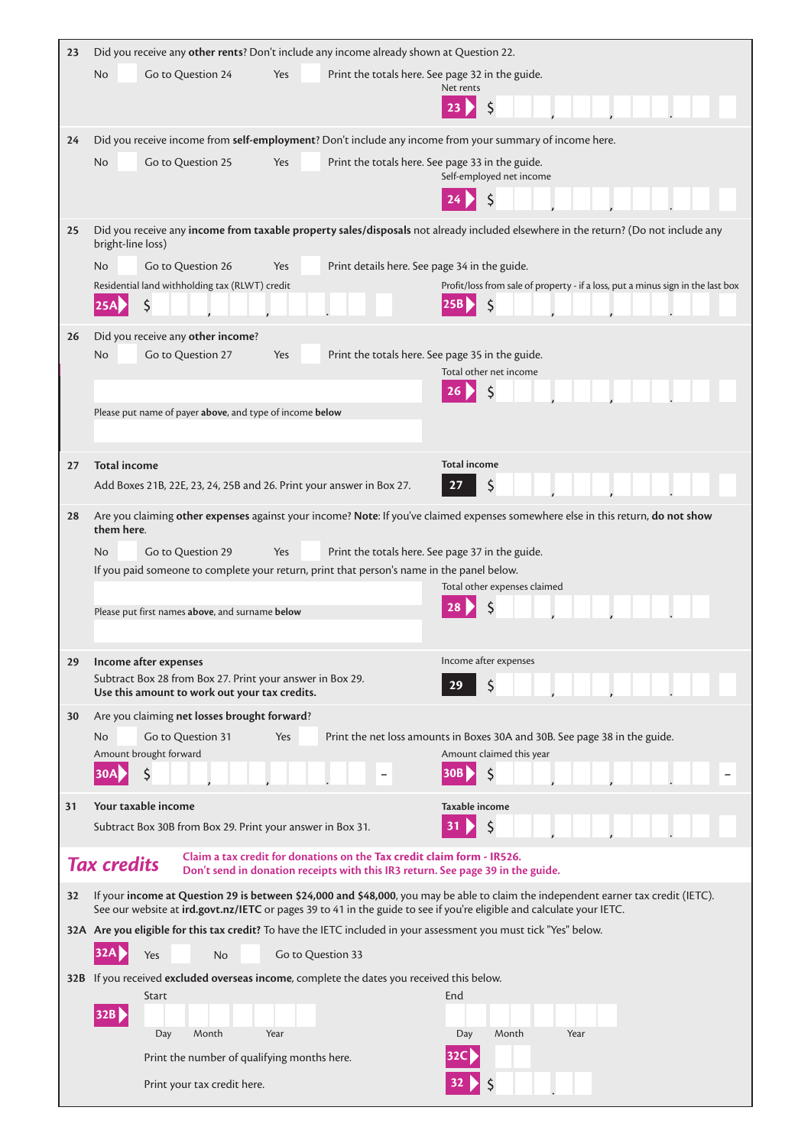| 23 | Did you receive any other rents? Don't include any income already shown at Question 22.                                                                                                                                                                     |
|----|-------------------------------------------------------------------------------------------------------------------------------------------------------------------------------------------------------------------------------------------------------------|
|    | Go to Question 24<br>Print the totals here. See page 32 in the guide.<br><b>No</b><br>Yes                                                                                                                                                                   |
|    | Net rents                                                                                                                                                                                                                                                   |
| 24 | Did you receive income from self-employment? Don't include any income from your summary of income here.                                                                                                                                                     |
|    | Go to Question 25<br>Print the totals here. See page 33 in the guide.<br>No<br>Yes                                                                                                                                                                          |
|    | Self-employed net income                                                                                                                                                                                                                                    |
|    |                                                                                                                                                                                                                                                             |
| 25 | Did you receive any income from taxable property sales/disposals not already included elsewhere in the return? (Do not include any<br>bright-line loss)                                                                                                     |
|    | Go to Question 26<br>Print details here. See page 34 in the guide.<br>N <sub>o</sub><br>Yes                                                                                                                                                                 |
|    | Residential land withholding tax (RLWT) credit<br>Profit/loss from sale of property - if a loss, put a minus sign in the last box                                                                                                                           |
|    | \$                                                                                                                                                                                                                                                          |
| 26 | Did you receive any other income?                                                                                                                                                                                                                           |
|    | Go to Question 27<br>Print the totals here. See page 35 in the guide.<br>No<br>Yes<br>Total other net income                                                                                                                                                |
|    | 26                                                                                                                                                                                                                                                          |
|    | Please put name of payer above, and type of income below                                                                                                                                                                                                    |
|    |                                                                                                                                                                                                                                                             |
| 27 | <b>Total income</b><br><b>Total income</b>                                                                                                                                                                                                                  |
|    | Add Boxes 21B, 22E, 23, 24, 25B and 26. Print your answer in Box 27.<br>27                                                                                                                                                                                  |
| 28 | Are you claiming other expenses against your income? Note: If you've claimed expenses somewhere else in this return, do not show                                                                                                                            |
|    | them here.                                                                                                                                                                                                                                                  |
|    | Go to Question 29<br>Print the totals here. See page 37 in the guide.<br>Yes<br>No<br>If you paid someone to complete your return, print that person's name in the panel below.                                                                             |
|    | Total other expenses claimed                                                                                                                                                                                                                                |
|    | Please put first names above, and surname below                                                                                                                                                                                                             |
|    |                                                                                                                                                                                                                                                             |
| 29 | Income after expenses<br>Income after expenses                                                                                                                                                                                                              |
|    | Subtract Box 28 from Box 27. Print your answer in Box 29.<br>29<br>Use this amount to work out your tax credits.                                                                                                                                            |
| 30 | Are you claiming net losses brought forward?                                                                                                                                                                                                                |
|    | Print the net loss amounts in Boxes 30A and 30B. See page 38 in the guide.<br>No<br>Go to Question 31<br>Yes                                                                                                                                                |
|    | Amount brought forward<br>Amount claimed this year<br>\$<br>\$<br>30 <sub>B</sub><br>30A                                                                                                                                                                    |
|    |                                                                                                                                                                                                                                                             |
| 31 | Your taxable income<br>Taxable income                                                                                                                                                                                                                       |
|    | Subtract Box 30B from Box 29. Print your answer in Box 31.                                                                                                                                                                                                  |
|    | Claim a tax credit for donations on the Tax credit claim form - IR526.<br><b>Tax credits</b><br>Don't send in donation receipts with this IR3 return. See page 39 in the guide.                                                                             |
| 32 | If your income at Question 29 is between \$24,000 and \$48,000, you may be able to claim the independent earner tax credit (IETC).<br>See our website at ird.govt.nz/IETC or pages 39 to 41 in the guide to see if you're eligible and calculate your IETC. |
|    | 32A Are you eligible for this tax credit? To have the IETC included in your assessment you must tick "Yes" below.                                                                                                                                           |
|    | Go to Question 33<br>Yes<br><b>No</b>                                                                                                                                                                                                                       |
|    | 32B If you received excluded overseas income, complete the dates you received this below.                                                                                                                                                                   |
|    | End<br>Start<br>32B                                                                                                                                                                                                                                         |
|    | Day<br>Month<br>Year<br>Month<br>Year<br>Day                                                                                                                                                                                                                |
|    | 32C<br>Print the number of qualifying months here.                                                                                                                                                                                                          |
|    | Print your tax credit here.                                                                                                                                                                                                                                 |

 $\mathcal{L}_{\mathcal{A}}$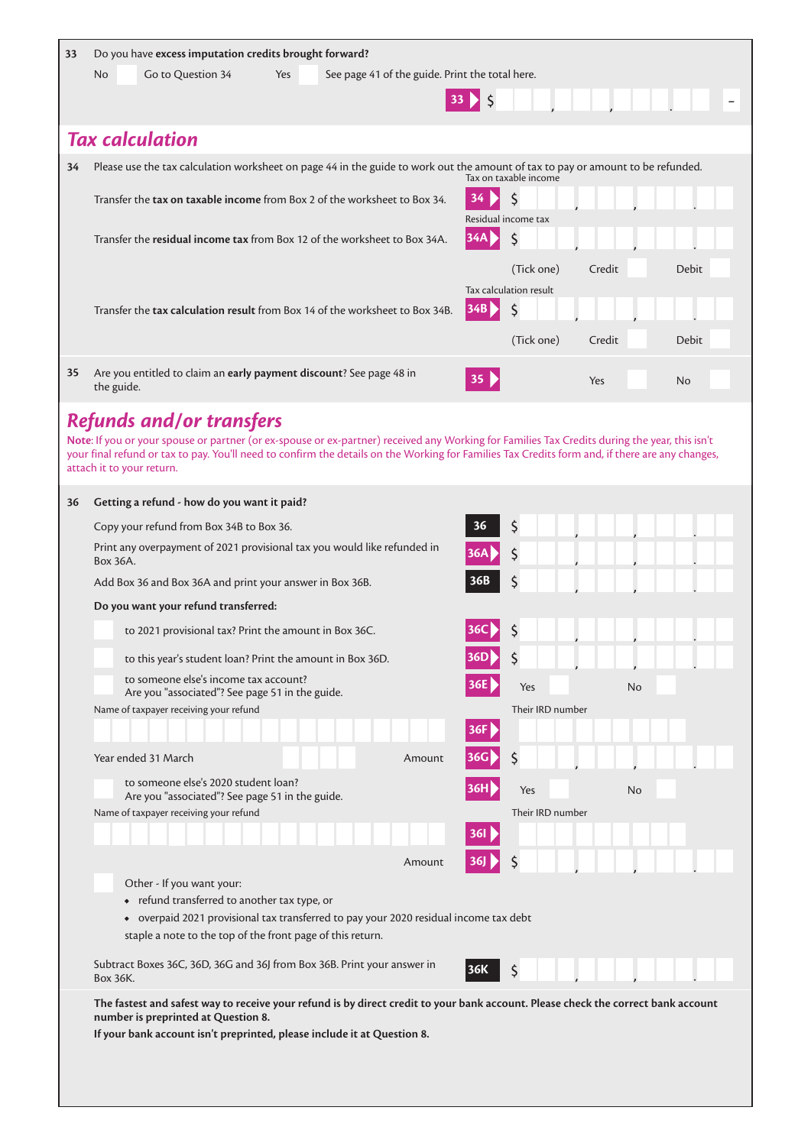| Go to Question 34<br>See page 41 of the guide. Print the total here.<br>No<br>Yes<br>33 > 5<br><b>Tax calculation</b><br>Please use the tax calculation worksheet on page 44 in the guide to work out the amount of tax to pay or amount to be refunded.<br>34<br>Tax on taxable income<br>\$<br>Transfer the <b>tax on taxable income</b> from Box 2 of the worksheet to Box 34.<br>Residual income tax<br>\$<br> 34A <br>Transfer the residual income tax from Box 12 of the worksheet to Box 34A.<br>(Tick one)<br>Credit<br>Debit<br>Tax calculation result<br>34B<br>\$<br>Transfer the tax calculation result from Box 14 of the worksheet to Box 34B.<br>(Tick one)<br><b>Debit</b><br>Credit<br>Are you entitled to claim an early payment discount? See page 48 in<br>35<br>35 <sup>1</sup><br>Yes<br>No<br>the guide.<br><b>Refunds and/or transfers</b><br>Note: If you or your spouse or partner (or ex-spouse or ex-partner) received any Working for Families Tax Credits during the year, this isn't<br>your final refund or tax to pay. You'll need to confirm the details on the Working for Families Tax Credits form and, if there are any changes,<br>attach it to your return.<br>Getting a refund - how do you want it paid?<br>36<br>\$<br>36<br>Copy your refund from Box 34B to Box 36.<br>Print any overpayment of 2021 provisional tax you would like refunded in<br>\$<br>36A<br>Box 36A.<br>\$<br>36B<br>Add Box 36 and Box 36A and print your answer in Box 36B.<br>Do you want your refund transferred:<br>to 2021 provisional tax? Print the amount in Box 36C.<br>to this year's student loan? Print the amount in Box 36D.<br>36D<br>to someone else's income tax account?<br>No<br>Yes<br>Are you "associated"? See page 51 in the guide.<br>Name of taxpayer receiving your refund<br>Their IRD number<br>36F | 33 | Do you have excess imputation credits brought forward? |           |  |
|---------------------------------------------------------------------------------------------------------------------------------------------------------------------------------------------------------------------------------------------------------------------------------------------------------------------------------------------------------------------------------------------------------------------------------------------------------------------------------------------------------------------------------------------------------------------------------------------------------------------------------------------------------------------------------------------------------------------------------------------------------------------------------------------------------------------------------------------------------------------------------------------------------------------------------------------------------------------------------------------------------------------------------------------------------------------------------------------------------------------------------------------------------------------------------------------------------------------------------------------------------------------------------------------------------------------------------------------------------------------------------------------------------------------------------------------------------------------------------------------------------------------------------------------------------------------------------------------------------------------------------------------------------------------------------------------------------------------------------------------------------------------------------------------------------------------------------------------------|----|--------------------------------------------------------|-----------|--|
|                                                                                                                                                                                                                                                                                                                                                                                                                                                                                                                                                                                                                                                                                                                                                                                                                                                                                                                                                                                                                                                                                                                                                                                                                                                                                                                                                                                                                                                                                                                                                                                                                                                                                                                                                                                                                                                   |    |                                                        |           |  |
|                                                                                                                                                                                                                                                                                                                                                                                                                                                                                                                                                                                                                                                                                                                                                                                                                                                                                                                                                                                                                                                                                                                                                                                                                                                                                                                                                                                                                                                                                                                                                                                                                                                                                                                                                                                                                                                   |    |                                                        |           |  |
|                                                                                                                                                                                                                                                                                                                                                                                                                                                                                                                                                                                                                                                                                                                                                                                                                                                                                                                                                                                                                                                                                                                                                                                                                                                                                                                                                                                                                                                                                                                                                                                                                                                                                                                                                                                                                                                   |    |                                                        |           |  |
|                                                                                                                                                                                                                                                                                                                                                                                                                                                                                                                                                                                                                                                                                                                                                                                                                                                                                                                                                                                                                                                                                                                                                                                                                                                                                                                                                                                                                                                                                                                                                                                                                                                                                                                                                                                                                                                   |    |                                                        |           |  |
|                                                                                                                                                                                                                                                                                                                                                                                                                                                                                                                                                                                                                                                                                                                                                                                                                                                                                                                                                                                                                                                                                                                                                                                                                                                                                                                                                                                                                                                                                                                                                                                                                                                                                                                                                                                                                                                   |    |                                                        |           |  |
|                                                                                                                                                                                                                                                                                                                                                                                                                                                                                                                                                                                                                                                                                                                                                                                                                                                                                                                                                                                                                                                                                                                                                                                                                                                                                                                                                                                                                                                                                                                                                                                                                                                                                                                                                                                                                                                   |    |                                                        |           |  |
|                                                                                                                                                                                                                                                                                                                                                                                                                                                                                                                                                                                                                                                                                                                                                                                                                                                                                                                                                                                                                                                                                                                                                                                                                                                                                                                                                                                                                                                                                                                                                                                                                                                                                                                                                                                                                                                   |    |                                                        |           |  |
|                                                                                                                                                                                                                                                                                                                                                                                                                                                                                                                                                                                                                                                                                                                                                                                                                                                                                                                                                                                                                                                                                                                                                                                                                                                                                                                                                                                                                                                                                                                                                                                                                                                                                                                                                                                                                                                   |    |                                                        |           |  |
|                                                                                                                                                                                                                                                                                                                                                                                                                                                                                                                                                                                                                                                                                                                                                                                                                                                                                                                                                                                                                                                                                                                                                                                                                                                                                                                                                                                                                                                                                                                                                                                                                                                                                                                                                                                                                                                   |    |                                                        |           |  |
|                                                                                                                                                                                                                                                                                                                                                                                                                                                                                                                                                                                                                                                                                                                                                                                                                                                                                                                                                                                                                                                                                                                                                                                                                                                                                                                                                                                                                                                                                                                                                                                                                                                                                                                                                                                                                                                   |    |                                                        |           |  |
|                                                                                                                                                                                                                                                                                                                                                                                                                                                                                                                                                                                                                                                                                                                                                                                                                                                                                                                                                                                                                                                                                                                                                                                                                                                                                                                                                                                                                                                                                                                                                                                                                                                                                                                                                                                                                                                   |    |                                                        |           |  |
|                                                                                                                                                                                                                                                                                                                                                                                                                                                                                                                                                                                                                                                                                                                                                                                                                                                                                                                                                                                                                                                                                                                                                                                                                                                                                                                                                                                                                                                                                                                                                                                                                                                                                                                                                                                                                                                   |    |                                                        |           |  |
|                                                                                                                                                                                                                                                                                                                                                                                                                                                                                                                                                                                                                                                                                                                                                                                                                                                                                                                                                                                                                                                                                                                                                                                                                                                                                                                                                                                                                                                                                                                                                                                                                                                                                                                                                                                                                                                   |    |                                                        |           |  |
|                                                                                                                                                                                                                                                                                                                                                                                                                                                                                                                                                                                                                                                                                                                                                                                                                                                                                                                                                                                                                                                                                                                                                                                                                                                                                                                                                                                                                                                                                                                                                                                                                                                                                                                                                                                                                                                   |    |                                                        |           |  |
|                                                                                                                                                                                                                                                                                                                                                                                                                                                                                                                                                                                                                                                                                                                                                                                                                                                                                                                                                                                                                                                                                                                                                                                                                                                                                                                                                                                                                                                                                                                                                                                                                                                                                                                                                                                                                                                   |    |                                                        |           |  |
|                                                                                                                                                                                                                                                                                                                                                                                                                                                                                                                                                                                                                                                                                                                                                                                                                                                                                                                                                                                                                                                                                                                                                                                                                                                                                                                                                                                                                                                                                                                                                                                                                                                                                                                                                                                                                                                   |    |                                                        |           |  |
|                                                                                                                                                                                                                                                                                                                                                                                                                                                                                                                                                                                                                                                                                                                                                                                                                                                                                                                                                                                                                                                                                                                                                                                                                                                                                                                                                                                                                                                                                                                                                                                                                                                                                                                                                                                                                                                   |    |                                                        |           |  |
|                                                                                                                                                                                                                                                                                                                                                                                                                                                                                                                                                                                                                                                                                                                                                                                                                                                                                                                                                                                                                                                                                                                                                                                                                                                                                                                                                                                                                                                                                                                                                                                                                                                                                                                                                                                                                                                   |    |                                                        |           |  |
|                                                                                                                                                                                                                                                                                                                                                                                                                                                                                                                                                                                                                                                                                                                                                                                                                                                                                                                                                                                                                                                                                                                                                                                                                                                                                                                                                                                                                                                                                                                                                                                                                                                                                                                                                                                                                                                   |    |                                                        |           |  |
|                                                                                                                                                                                                                                                                                                                                                                                                                                                                                                                                                                                                                                                                                                                                                                                                                                                                                                                                                                                                                                                                                                                                                                                                                                                                                                                                                                                                                                                                                                                                                                                                                                                                                                                                                                                                                                                   |    |                                                        |           |  |
|                                                                                                                                                                                                                                                                                                                                                                                                                                                                                                                                                                                                                                                                                                                                                                                                                                                                                                                                                                                                                                                                                                                                                                                                                                                                                                                                                                                                                                                                                                                                                                                                                                                                                                                                                                                                                                                   |    |                                                        |           |  |
|                                                                                                                                                                                                                                                                                                                                                                                                                                                                                                                                                                                                                                                                                                                                                                                                                                                                                                                                                                                                                                                                                                                                                                                                                                                                                                                                                                                                                                                                                                                                                                                                                                                                                                                                                                                                                                                   |    |                                                        |           |  |
|                                                                                                                                                                                                                                                                                                                                                                                                                                                                                                                                                                                                                                                                                                                                                                                                                                                                                                                                                                                                                                                                                                                                                                                                                                                                                                                                                                                                                                                                                                                                                                                                                                                                                                                                                                                                                                                   |    |                                                        |           |  |
|                                                                                                                                                                                                                                                                                                                                                                                                                                                                                                                                                                                                                                                                                                                                                                                                                                                                                                                                                                                                                                                                                                                                                                                                                                                                                                                                                                                                                                                                                                                                                                                                                                                                                                                                                                                                                                                   |    |                                                        |           |  |
|                                                                                                                                                                                                                                                                                                                                                                                                                                                                                                                                                                                                                                                                                                                                                                                                                                                                                                                                                                                                                                                                                                                                                                                                                                                                                                                                                                                                                                                                                                                                                                                                                                                                                                                                                                                                                                                   |    |                                                        |           |  |
|                                                                                                                                                                                                                                                                                                                                                                                                                                                                                                                                                                                                                                                                                                                                                                                                                                                                                                                                                                                                                                                                                                                                                                                                                                                                                                                                                                                                                                                                                                                                                                                                                                                                                                                                                                                                                                                   |    |                                                        |           |  |
|                                                                                                                                                                                                                                                                                                                                                                                                                                                                                                                                                                                                                                                                                                                                                                                                                                                                                                                                                                                                                                                                                                                                                                                                                                                                                                                                                                                                                                                                                                                                                                                                                                                                                                                                                                                                                                                   |    |                                                        |           |  |
|                                                                                                                                                                                                                                                                                                                                                                                                                                                                                                                                                                                                                                                                                                                                                                                                                                                                                                                                                                                                                                                                                                                                                                                                                                                                                                                                                                                                                                                                                                                                                                                                                                                                                                                                                                                                                                                   |    | Year ended 31 March<br>Amount                          | \$<br>36G |  |
| to someone else's 2020 student loan?<br>36H<br>Yes<br>No                                                                                                                                                                                                                                                                                                                                                                                                                                                                                                                                                                                                                                                                                                                                                                                                                                                                                                                                                                                                                                                                                                                                                                                                                                                                                                                                                                                                                                                                                                                                                                                                                                                                                                                                                                                          |    |                                                        |           |  |
| Are you "associated"? See page 51 in the guide.<br>Name of taxpayer receiving your refund<br>Their IRD number                                                                                                                                                                                                                                                                                                                                                                                                                                                                                                                                                                                                                                                                                                                                                                                                                                                                                                                                                                                                                                                                                                                                                                                                                                                                                                                                                                                                                                                                                                                                                                                                                                                                                                                                     |    |                                                        |           |  |
| 361                                                                                                                                                                                                                                                                                                                                                                                                                                                                                                                                                                                                                                                                                                                                                                                                                                                                                                                                                                                                                                                                                                                                                                                                                                                                                                                                                                                                                                                                                                                                                                                                                                                                                                                                                                                                                                               |    |                                                        |           |  |
| 36]<br>Amount                                                                                                                                                                                                                                                                                                                                                                                                                                                                                                                                                                                                                                                                                                                                                                                                                                                                                                                                                                                                                                                                                                                                                                                                                                                                                                                                                                                                                                                                                                                                                                                                                                                                                                                                                                                                                                     |    |                                                        |           |  |
| Other - If you want your:                                                                                                                                                                                                                                                                                                                                                                                                                                                                                                                                                                                                                                                                                                                                                                                                                                                                                                                                                                                                                                                                                                                                                                                                                                                                                                                                                                                                                                                                                                                                                                                                                                                                                                                                                                                                                         |    |                                                        |           |  |
| • refund transferred to another tax type, or<br>• overpaid 2021 provisional tax transferred to pay your 2020 residual income tax debt                                                                                                                                                                                                                                                                                                                                                                                                                                                                                                                                                                                                                                                                                                                                                                                                                                                                                                                                                                                                                                                                                                                                                                                                                                                                                                                                                                                                                                                                                                                                                                                                                                                                                                             |    |                                                        |           |  |
| staple a note to the top of the front page of this return.                                                                                                                                                                                                                                                                                                                                                                                                                                                                                                                                                                                                                                                                                                                                                                                                                                                                                                                                                                                                                                                                                                                                                                                                                                                                                                                                                                                                                                                                                                                                                                                                                                                                                                                                                                                        |    |                                                        |           |  |
| Subtract Boxes 36C, 36D, 36G and 36J from Box 36B. Print your answer in<br>\$<br> 36K<br>Box 36K.                                                                                                                                                                                                                                                                                                                                                                                                                                                                                                                                                                                                                                                                                                                                                                                                                                                                                                                                                                                                                                                                                                                                                                                                                                                                                                                                                                                                                                                                                                                                                                                                                                                                                                                                                 |    |                                                        |           |  |
| The fastest and safest way to receive your refund is by direct credit to your bank account. Please check the correct bank account                                                                                                                                                                                                                                                                                                                                                                                                                                                                                                                                                                                                                                                                                                                                                                                                                                                                                                                                                                                                                                                                                                                                                                                                                                                                                                                                                                                                                                                                                                                                                                                                                                                                                                                 |    |                                                        |           |  |
| number is preprinted at Question 8.<br>If your bank account isn't preprinted, please include it at Question 8.                                                                                                                                                                                                                                                                                                                                                                                                                                                                                                                                                                                                                                                                                                                                                                                                                                                                                                                                                                                                                                                                                                                                                                                                                                                                                                                                                                                                                                                                                                                                                                                                                                                                                                                                    |    |                                                        |           |  |
|                                                                                                                                                                                                                                                                                                                                                                                                                                                                                                                                                                                                                                                                                                                                                                                                                                                                                                                                                                                                                                                                                                                                                                                                                                                                                                                                                                                                                                                                                                                                                                                                                                                                                                                                                                                                                                                   |    |                                                        |           |  |